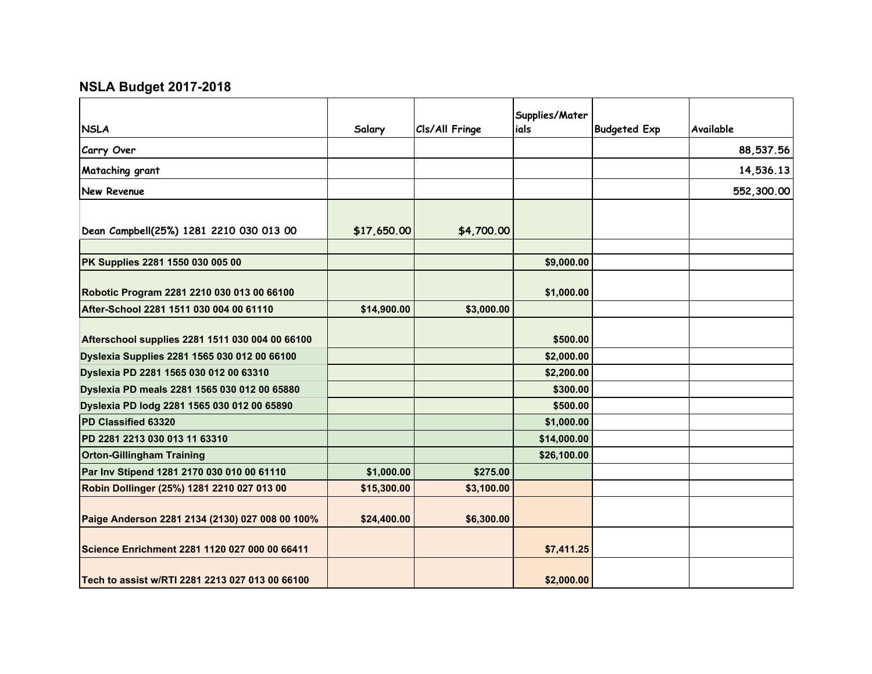## **NSLA Budget 2017-2018**

| <b>NSLA</b>                                     | Salary      | Cls/All Fringe | Supplies/Mater<br>ials | <b>Budgeted Exp</b> | Available  |
|-------------------------------------------------|-------------|----------------|------------------------|---------------------|------------|
| Carry Over                                      |             |                |                        |                     | 88,537.56  |
| Mataching grant                                 |             |                |                        |                     | 14,536.13  |
| <b>New Revenue</b>                              |             |                |                        |                     | 552,300.00 |
|                                                 |             |                |                        |                     |            |
| Dean Campbell(25%) 1281 2210 030 013 00         | \$17,650.00 | \$4,700.00     |                        |                     |            |
|                                                 |             |                |                        |                     |            |
| PK Supplies 2281 1550 030 005 00                |             |                | \$9,000.00             |                     |            |
| Robotic Program 2281 2210 030 013 00 66100      |             |                | \$1,000.00             |                     |            |
| After-School 2281 1511 030 004 00 61110         | \$14,900.00 | \$3,000.00     |                        |                     |            |
| Afterschool supplies 2281 1511 030 004 00 66100 |             |                | \$500.00               |                     |            |
| Dyslexia Supplies 2281 1565 030 012 00 66100    |             |                | \$2,000.00             |                     |            |
| Dyslexia PD 2281 1565 030 012 00 63310          |             |                | \$2,200.00             |                     |            |
| Dyslexia PD meals 2281 1565 030 012 00 65880    |             |                | \$300.00               |                     |            |
| Dyslexia PD lodg 2281 1565 030 012 00 65890     |             |                | \$500.00               |                     |            |
| PD Classified 63320                             |             |                | \$1,000.00             |                     |            |
| PD 2281 2213 030 013 11 63310                   |             |                | \$14,000.00            |                     |            |
| <b>Orton-Gillingham Training</b>                |             |                | \$26,100.00            |                     |            |
| Par Inv Stipend 1281 2170 030 010 00 61110      | \$1,000.00  | \$275.00       |                        |                     |            |
| Robin Dollinger (25%) 1281 2210 027 013 00      | \$15,300.00 | \$3,100.00     |                        |                     |            |
| Paige Anderson 2281 2134 (2130) 027 008 00 100% | \$24,400.00 | \$6,300.00     |                        |                     |            |
| Science Enrichment 2281 1120 027 000 00 66411   |             |                | \$7,411.25             |                     |            |
| Tech to assist w/RTI 2281 2213 027 013 00 66100 |             |                | \$2,000.00             |                     |            |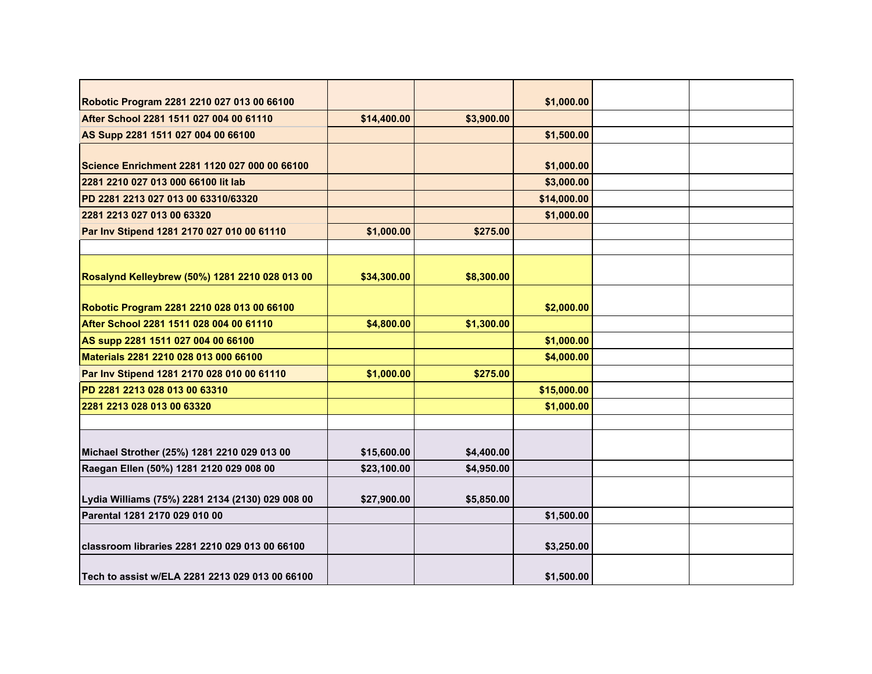| Robotic Program 2281 2210 027 013 00 66100       |             |            | \$1,000.00  |  |
|--------------------------------------------------|-------------|------------|-------------|--|
| After School 2281 1511 027 004 00 61110          | \$14,400.00 | \$3,900.00 |             |  |
| AS Supp 2281 1511 027 004 00 66100               |             |            | \$1,500.00  |  |
|                                                  |             |            |             |  |
| Science Enrichment 2281 1120 027 000 00 66100    |             |            | \$1,000.00  |  |
| 2281 2210 027 013 000 66100 lit lab              |             |            | \$3,000.00  |  |
| PD 2281 2213 027 013 00 63310/63320              |             |            | \$14,000.00 |  |
| 2281 2213 027 013 00 63320                       |             |            | \$1,000.00  |  |
| Par Inv Stipend 1281 2170 027 010 00 61110       | \$1,000.00  | \$275.00   |             |  |
|                                                  |             |            |             |  |
|                                                  |             |            |             |  |
| Rosalynd Kelleybrew (50%) 1281 2210 028 013 00   | \$34,300.00 | \$8,300.00 |             |  |
| Robotic Program 2281 2210 028 013 00 66100       |             |            | \$2,000.00  |  |
| After School 2281 1511 028 004 00 61110          | \$4,800.00  | \$1,300.00 |             |  |
|                                                  |             |            | \$1,000.00  |  |
| AS supp 2281 1511 027 004 00 66100               |             |            |             |  |
| Materials 2281 2210 028 013 000 66100            |             |            | \$4,000.00  |  |
| Par Inv Stipend 1281 2170 028 010 00 61110       | \$1,000.00  | \$275.00   |             |  |
| PD 2281 2213 028 013 00 63310                    |             |            | \$15,000.00 |  |
| 2281 2213 028 013 00 63320                       |             |            | \$1,000.00  |  |
|                                                  |             |            |             |  |
| Michael Strother (25%) 1281 2210 029 013 00      | \$15,600.00 | \$4,400.00 |             |  |
| Raegan Ellen (50%) 1281 2120 029 008 00          | \$23,100.00 | \$4,950.00 |             |  |
|                                                  |             |            |             |  |
| Lydia Williams (75%) 2281 2134 (2130) 029 008 00 | \$27,900.00 | \$5,850.00 |             |  |
| Parental 1281 2170 029 010 00                    |             |            | \$1,500.00  |  |
|                                                  |             |            |             |  |
| classroom libraries 2281 2210 029 013 00 66100   |             |            | \$3,250.00  |  |
| Tech to assist w/ELA 2281 2213 029 013 00 66100  |             |            | \$1,500.00  |  |